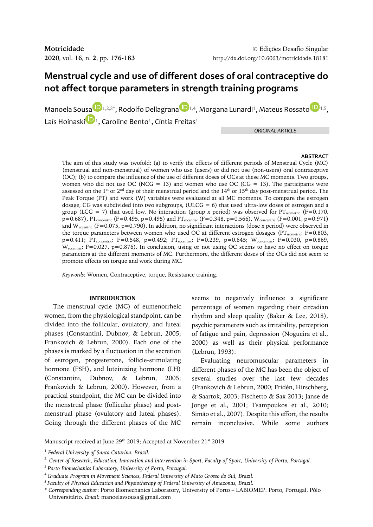# **Menstrual cycle and use of different doses of oral contraceptive do not affect torque parameters in strength training programs**

Manoela So[us](https://orcid.org/0000-0001-8654-724X)[a](https://orcid.org/0000-0003-2141-0829) $\bigcup_{1,2,3^*}$ , R[o](https://orcid.org/0000-0002-4132-9860)dolfo Dellagrana  $\bigcup_{1,4}$ , Morgana Lunardi<sup>1</sup>, Mateus Rossato  $\bigcup_{1,5}$ , Laís Hoinaski $\mathbf{D}_1$ , Caroline Bento<sup>1</sup>, Cíntia Freitas<sup>1</sup>

*ORIGINAL ARTICLE*

# **ABSTRACT**

The aim of this study was twofold: (a) to verify the effects of different periods of Menstrual Cycle (MC) (menstrual and non-menstrual) of women who use (users) or did not use (non-users) oral contraceptive (OC); (b) to compare the influence of the use of different doses of OCs at these MC moments. Two groups, women who did not use OC (NCG = 13) and women who use OC (CG = 13). The participants were assessed on the 1<sup>st</sup> or 2<sup>nd</sup> day of their menstrual period and the 14<sup>th</sup> or 15<sup>th</sup> day post-menstrual period. The Peak Torque (PT) and work (W) variables were evaluated at all MC moments. To compare the estrogen dosage, CG was subdivided into two subgroups, (ULCG =  $6$ ) that used ultra-low doses of estrogen and a group (LCG = 7) that used low. No interaction (group x period) was observed for  $PT_{isometric}$  (F=0.170,  $p=0.687$ ),  $PT_{concentric}$  (F=0.495, p=0.495) and  $PT_{eccentric}$  (F=0.348, p=0.566),  $W_{concentric}$  (F=0.001, p=0.971) and  $W_{eccentric}$  (F=0.075, p=0.790). In addition, no significant interactions (dose x period) were observed in the torque parameters between women who used OC at different estrogen dosages (PT<sub>isometric</sub>: F=0.803, p=0.411; PT<sub>concentric</sub>: F=0.548, p=0.492; PT<sub>eccentric</sub>: F=0.239, p=0.645; W<sub>concentric</sub>: F=0.030, p=0.869, W<sub>eccentric</sub>: F=0.027, p=0.876). In conclusion, using or not using OC seems to have no effect on torque parameters at the different moments of MC. Furthermore, the different doses of the OCs did not seem to promote effects on torque and work during MC.

*Keywords:* Women, Contraceptive, torque, Resistance training.

## **INTRODUCTION**

The menstrual cycle (MC) of eumenorrheic women, from the physiological standpoint, can be divided into the follicular, ovulatory, and luteal phases (Constantini, Dubnov, & Lebrun, 2005; Frankovich & Lebrun, 2000). Each one of the phases is marked by a fluctuation in the secretion of estrogen, progesterone, follicle-stimulating hormone (FSH), and luteinizing hormone (LH) (Constantini, Dubnov, & Lebrun, 2005; Frankovich & Lebrun, 2000). However, from a practical standpoint, the MC can be divided into the menstrual phase (follicular phase) and postmenstrual phase (ovulatory and luteal phases). Going through the different phases of the MC

seems to negatively influence a significant percentage of women regarding their circadian rhythm and sleep quality (Baker & Lee, 2018), psychic parameters such as irritability, perception of fatigue and pain, depression (Nogueira et al., 2000) as well as their physical performance (Lebrun, 1993).

Evaluating neuromuscular parameters in different phases of the MC has been the object of several studies over the last few decades (Frankovich & Lebrun, 2000; Fridén, Hirschberg, & Saartok, 2003; Fischetto & Sax 2013; Janse de Jonge et al., 2001; Tsampoukos et al., 2010; Simão et al., 2007). Despite this effort, the results remain inconclusive. While some authors

Manuscript received at June 29<sup>th</sup> 2019; Accepted at November 21<sup>st</sup> 2019

<sup>1</sup> *Federal University of Santa Catarina. Brazil.*

<sup>2</sup>*Center of Research, Education, Innovation and intervention in Sport, Faculty of Sport, University of Porto, Portugal.*

<sup>3</sup>*Porto Biomechanics Laboratory, University of Porto, Portugal.*

<sup>4</sup>*Graduate Program in Movement Sciences, Federal University of Mato Grosso do Sul, Brazil.*

*<sup>5</sup>Faculty of Physical Education and Physiotherapy of Federal University of Amazonas, Brazil.*

<sup>\*</sup> *Corresponding author*: Porto Biomechanics Laboratory, University of Porto – LABIOMEP. Porto, Portugal. Pólo Universitário. *Email:* manoelavsousa@gmail.com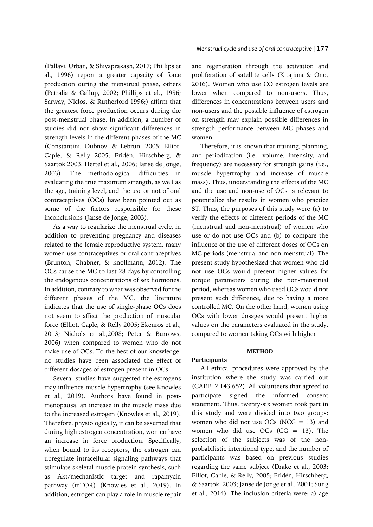(Pallavi, Urban, & Shivaprakash, 2017; Phillips et al., 1996) report a greater capacity of force production during the menstrual phase, others (Petralia & Gallup, 2002; Phillips et al., 1996; Sarway, Niclos, & Rutherford 1996;) affirm that the greatest force production occurs during the post-menstrual phase. In addition, a number of studies did not show significant differences in strength levels in the different phases of the MC (Constantini, Dubnov, & Lebrun, 2005; Elliot, Caple, & Relly 2005; Fridén, Hirschberg, & Saartok 2003; Hertel et al., 2006; Janse de Jonge, 2003). The methodological difficulties in evaluating the true maximum strength, as well as the age, training level, and the use or not of oral contraceptives (OCs) have been pointed out as some of the factors responsible for these inconclusions (Janse de Jonge, 2003).

As a way to regularize the menstrual cycle, in addition to preventing pregnancy and diseases related to the female reproductive system, many women use contraceptives or oral contraceptives (Brunton, Chabner, & knollmann, 2012). The OCs cause the MC to last 28 days by controlling the endogenous concentrations of sex hormones. In addition, contrary to what was observed for the different phases of the MC, the literature indicates that the use of single-phase OCs does not seem to affect the production of muscular force (Elliot, Caple, & Relly 2005; Ekenros et al., 2013; Nichols et al.,2008; Peter & Burrows, 2006) when compared to women who do not make use of OCs. To the best of our knowledge, no studies have been associated the effect of different dosages of estrogen present in OCs.

Several studies have suggested the estrogens may influence muscle hypertrophy (see Knowles et al., 2019). Authors have found in postmenopausal an increase in the muscle mass due to the increased estrogen (Knowles et al., 2019). Therefore, physiologically, it can be assumed that during high estrogen concentration, women have an increase in force production. Specifically, when bound to its receptors, the estrogen can upregulate intracellular signaling pathways that stimulate skeletal muscle protein synthesis, such as Akt/mechanistic target and rapamycin pathway (mTOR) (Knowles et al., 2019). In addition, estrogen can play a role in muscle repair

## *Menstrual cycle and use of oral contraceptive |* **177**

and regeneration through the activation and proliferation of satellite cells (Kitajima & Ono, 2016). Women who use CO estrogen levels are lower when compared to non-users. Thus, differences in concentrations between users and non-users and the possible influence of estrogen on strength may explain possible differences in strength performance between MC phases and women.

Therefore, it is known that training, planning, and periodization (i.e., volume, intensity, and frequency) are necessary for strength gains (i.e., muscle hypertrophy and increase of muscle mass). Thus, understanding the effects of the MC and the use and non-use of OCs is relevant to potentialize the results in women who practice ST. Thus, the purposes of this study were (a) to verify the effects of different periods of the MC (menstrual and non-menstrual) of women who use or do not use OCs and (b) to compare the influence of the use of different doses of OCs on MC periods (menstrual and non-menstrual). The present study hypothesized that women who did not use OCs would present higher values for torque parameters during the non-menstrual period, whereas women who used OCs would not present such difference, due to having a more controlled MC. On the other hand, women using OCs with lower dosages would present higher values on the parameters evaluated in the study, compared to women taking OCs with higher

## **METHOD**

## **Participants**

All ethical procedures were approved by the institution where the study was carried out (CAEE: 2.143.652). All volunteers that agreed to participate signed the informed consent statement. Thus, twenty-six women took part in this study and were divided into two groups: women who did not use  $OCs$  (NCG = 13) and women who did use OCs (CG = 13). The selection of the subjects was of the nonprobabilistic intentional type, and the number of participants was based on previous studies regarding the same subject (Drake et al., 2003; Elliot, Caple, & Relly, 2005; Fridén, Hirschberg, & Saartok, 2003; Janse de Jonge et al., 2001; Sung et al., 2014). The inclusion criteria were: a) age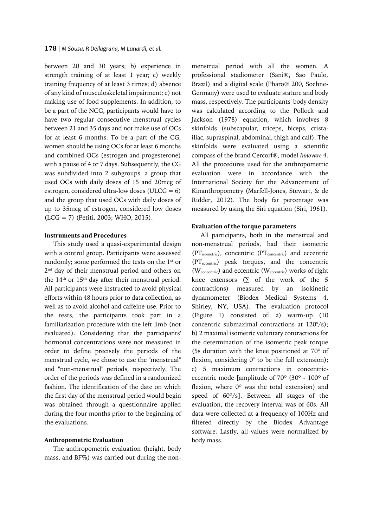#### **178** | *M Sousa, R Dellagrana, M Lunardi, et al.*

between 20 and 30 years; b) experience in strength training of at least 1 year; c) weekly training frequency of at least 3 times; d) absence of any kind of musculoskeletal impairment; e) not making use of food supplements. In addition, to be a part of the NCG, participants would have to have two regular consecutive menstrual cycles between 21 and 35 days and not make use of OCs for at least 6 months. To be a part of the CG, women should be using OCs for at least 6 months and combined OCs (estrogen and progesterone) with a pause of 4 or 7 days. Subsequently, the CG was subdivided into 2 subgroups: a group that used OCs with daily doses of 15 and 20mcg of estrogen, considered ultra-low doses (ULCG =  $6$ ) and the group that used OCs with daily doses of up to 35mcg of estrogen, considered low doses (LCG = 7) (Petiti, 2003; WHO, 2015).

## **Instruments and Procedures**

This study used a quasi-experimental design with a control group. Participants were assessed randomly; some performed the tests on the  $1<sup>st</sup>$  or 2 nd day of their menstrual period and others on the 14<sup>th</sup> or 15<sup>th</sup> day after their menstrual period. All participants were instructed to avoid physical efforts within 48 hours prior to data collection, as well as to avoid alcohol and caffeine use. Prior to the tests, the participants took part in a familiarization procedure with the left limb (not evaluated). Considering that the participants' hormonal concentrations were not measured in order to define precisely the periods of the menstrual cycle, we chose to use the "menstrual" and "non-menstrual" periods, respectively. The order of the periods was defined in a randomized fashion. The identification of the date on which the first day of the menstrual period would begin was obtained through a questionnaire applied during the four months prior to the beginning of the evaluations.

#### **Anthropometric Evaluation**

The anthropometric evaluation (height, body mass, and BF%) was carried out during the nonmenstrual period with all the women. A professional stadiometer (Sani®, Sao Paulo, Brazil) and a digital scale (Pharo® 200, Soehne-Germany) were used to evaluate stature and body mass, respectively. The participants' body density was calculated according to the Pollock and Jackson (1978) equation, which involves 8 skinfolds (subscapular, triceps, biceps, cristailiac, supraspinal, abdominal, thigh and calf). The skinfolds were evaluated using a scientific compass of the brand Cercorf®, model *Innovare 4*. All the procedures used for the anthropometric evaluation were in accordance with the International Society for the Advancement of Kinanthropometry (Marfell-Jones, Stewart, & de Ridder, 2012). The body fat percentage was measured by using the Siri equation (Siri, 1961).

### **Evaluation of the torque parameters**

All participants, both in the menstrual and non-menstrual periods, had their isometric  $(PT_{isometric})$ , concentric  $(PT_{concentric})$  and eccentric (PTeccentric) peak torques, and the concentric (W<sub>concentric</sub>) and eccentric (W<sub>eccentric</sub>) works of right knee extensors  $($  of the work of the 5 contractions) measured by an isokinetic dynamometer (Biodex Medical Systems 4, Shirley, NY, USA). The evaluation protocol (Figure 1) consisted of: a) warm-up (10 concentric submaximal contractions at 120°/s); b) 2 maximal isometric voluntary contractions for the determination of the isometric peak torque (5s duration with the knee positioned at 70º of flexion, considering 0° to be the full extension); c) 5 maximum contractions in concentriceccentric mode [amplitude of 70º (30º - 100º of flexion, where 0º was the total extension) and speed of 60º/s]. Between all stages of the evaluation, the recovery interval was of 60s. All data were collected at a frequency of 100Hz and filtered directly by the Biodex Advantage software. Lastly, all values were normalized by body mass.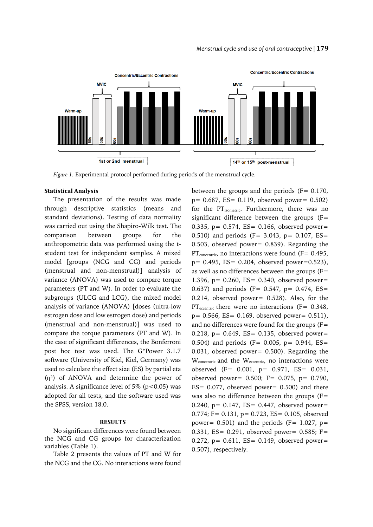#### *Menstrual cycle and use of oral contraceptive |* **179**



*Figure 1.* Experimental protocol performed during periods of the menstrual cycle.

#### **Statistical Analysis**

The presentation of the results was made through descriptive statistics (means and standard deviations). Testing of data normality was carried out using the Shapiro-Wilk test. The comparison between groups for the anthropometric data was performed using the tstudent test for independent samples. A mixed model [groups (NCG and CG) and periods (menstrual and non-menstrual)] analysis of variance (ANOVA) was used to compare torque parameters (PT and W). In order to evaluate the subgroups (ULCG and LCG), the mixed model analysis of variance (ANOVA) [doses (ultra-low estrogen dose and low estrogen dose) and periods (menstrual and non-menstrual)] was used to compare the torque parameters (PT and W). In the case of significant differences, the Bonferroni post hoc test was used. The G\*Power 3.1.7 software (University of Kiel, Kiel, Germany) was used to calculate the effect size (ES) by partial eta  $(\eta^2)$  of ANOVA and determine the power of analysis. A significance level of 5% ( $p$ <0.05) was adopted for all tests, and the software used was the SPSS, version 18.0.

## **RESULTS**

No significant differences were found between the NCG and CG groups for characterization variables (Table 1).

Table 2 presents the values of PT and W for the NCG and the CG. No interactions were found

between the groups and the periods  $(F = 0.170)$ , p= 0.687, ES= 0.119, observed power= 0.502) for the PT<sub>Isometric</sub>. Furthermore, there was no significant difference between the groups (F= 0.335, p=  $0.574$ , ES= 0.166, observed power= 0.510) and periods (F= 3.043, p= 0.107, ES= 0.503, observed power= 0.839). Regarding the  $PT_{\text{concentric}}$ , no interactions were found (F= 0.495, p= 0.495, ES= 0.204, observed power=0.523), as well as no differences between the groups (F= 1.396, p= 0.260, ES= 0.340, observed power= 0.637) and periods (F= 0.547, p= 0.474, ES= 0.214, observed power= 0.528). Also, for the PT $_{\text{eccentric}}$  there were no interactions (F= 0.348, p= 0.566, ES= 0.169, observed power= 0.511), and no differences were found for the groups  $(F=$ 0.218,  $p = 0.649$ ,  $ES = 0.135$ , observed power= 0.504) and periods (F= 0.005, p= 0.944,  $ES=$ 0.031, observed power= 0.500). Regarding the W<sub>concentric</sub> and the W<sub>eccentric</sub>, no interactions were observed (F= 0.001, p= 0.971, ES= 0.031, observed power= 0.500; F= 0.075, p= 0.790, ES= 0.077, observed power= 0.500) and there was also no difference between the groups (F= 0.240,  $p = 0.147$ ,  $ES = 0.447$ , observed power= 0.774; F= 0.131, p= 0.723, ES= 0.105, observed power= 0.501) and the periods ( $F = 1.027$ ,  $p=$ 0.331, ES= 0.291, observed power= 0.585; F= 0.272,  $p = 0.611$ ,  $ES = 0.149$ , observed power= 0.507), respectively.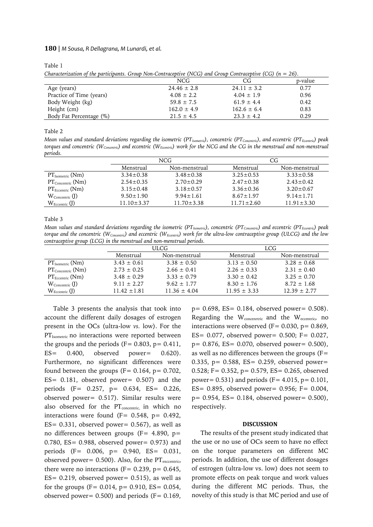#### **180** | *M Sousa, R Dellagrana, M Lunardi, et al.*

Table 1

*Characterization of the participants. Group Non-Contraceptive (NCG) and Group Contraceptive (CG) (n = 26).* 

|                          | NCG             | CG              | p-value |
|--------------------------|-----------------|-----------------|---------|
| Age (years)              | $24.46 \pm 2.8$ | $24.11 \pm 3.2$ | 0.77    |
| Practice of Time (years) | $4.08 \pm 2.2$  | $4.04 \pm 1.9$  | 0.96    |
| Body Weight (kg)         | $59.8 \pm 7.5$  | $61.9 \pm 4.4$  | 0.42    |
| Height (cm)              | $162.0 \pm 4.9$ | $162.6 \pm 6.4$ | 0.83    |
| Body Fat Percentage (%)  | $21.5 \pm 4.5$  | $23.3 \pm 4.2$  | 0.29    |
|                          |                 |                 |         |

Table 2

*Mean values and standard deviations regarding the isometric (PTIsometric), concentric (PTConcentric), and eccentric (PTEccentric) peak torques and concentric (WConcentric) and eccentric (WEccentric) work for the NCG and the CG in the menstrual and non-menstrual periods.*

|                                                | NCG             |                  | CG              |                 |
|------------------------------------------------|-----------------|------------------|-----------------|-----------------|
|                                                | Menstrual       | Non-menstrual    | Menstrual       | Non-menstrual   |
| $PT_{Isometric}$ (Nm)                          | $3.34 + 0.38$   | $3.48 + 0.38$    | $3.25 + 0.53$   | $3.33 \pm 0.58$ |
| $PT_{\text{Concentric}}\left(\text{Nm}\right)$ | $2.54 + 0.35$   | $2.70 + 0.29$    | $2.47 \pm 0.38$ | $2.43 + 0.42$   |
| $PT_{\text{Eccentric}}$ (Nm)                   | $3.15 \pm 0.48$ | $3.18 \pm 0.57$  | $3.36 + 0.36$   | $3.20 + 0.67$   |
| $W_{\text{Concentric}}$ (J)                    | $9.50 + 1.90$   | $9.94 + 1.61$    | $8.67 \pm 1.97$ | $9.14 + 1.71$   |
| $W_{\text{Eccentric}}$ (J)                     | $11.10 + 3.37$  | $11.70 \pm 3.38$ | $11.71 + 2.60$  | $11.91 + 3.30$  |

Table 3

*Mean values and standard deviations regarding the isometric (PTIsometric), concentric (PTConcentric) and eccentric (PTEccentric) peak torque and the concentric (WConcentric) and eccentric (WEccentric) work for the ultra-low contraceptive group (ULCG) and the low contraceptive group (LCG) in the menstrual and non-menstrual periods.*

|                                                | ULCG            |                  | LCG              |                  |
|------------------------------------------------|-----------------|------------------|------------------|------------------|
|                                                | Menstrual       | Non-menstrual    | Menstrual        | Non-menstrual    |
| $PT_{Isometric}$ (Nm)                          | $3.43 \pm 0.61$ | $3.38 \pm 0.50$  | $3.13 \pm 0.50$  | $3.28 + 0.68$    |
| $PT_{\text{Concentric}}\left(\text{Nm}\right)$ | $2.73 \pm 0.25$ | $2.66 \pm 0.41$  | $2.26 \pm 0.33$  | $2.31 \pm 0.40$  |
| $PT_{\text{Eccentric}}$ (Nm)                   | $3.48 + 0.29$   | $3.33 + 0.79$    | $3.30 + 0.42$    | $3.25 \pm 0.70$  |
| $W_{\text{Concentric}}$ (J)                    | $9.11 \pm 2.27$ | $9.62 \pm 1.77$  | $8.30 \pm 1.76$  | $8.72 \pm 1.68$  |
| $W_{\text{Eccentric}}$ (J)                     | $11.42 + 1.81$  | $11.36 \pm 4.04$ | $11.95 \pm 3.33$ | $12.39 \pm 2.77$ |

Table 3 presents the analysis that took into account the different daily dosages of estrogen present in the OCs (ultra-low *vs.* low). For the PT<sub>Isometric</sub> no interactions were reported between the groups and the periods ( $F = 0.803$ ,  $p = 0.411$ , ES= 0.400, observed power= 0.620). Furthermore, no significant differences were found between the groups ( $F = 0.164$ ,  $p = 0.702$ , ES= 0.181, observed power= 0.507) and the periods (F= 0.257, p= 0.634, ES= 0.226, observed power= 0.517). Similar results were also observed for the  $PT_{concentric}$  in which no interactions were found ( $F = 0.548$ ,  $p = 0.492$ ,  $ES = 0.331$ , observed power= 0.567), as well as no differences between groups ( $F = 4.890$ ,  $p =$ 0.780, ES= 0.988, observed power= 0.973) and periods (F= 0.006, p= 0.940, ES= 0.031, observed power=  $0.500$ ). Also, for the PT<sub>exccentric</sub>, there were no interactions ( $F = 0.239$ ,  $p = 0.645$ ,  $ES = 0.219$ , observed power= 0.515), as well as for the groups (F=  $0.014$ , p=  $0.910$ , ES=  $0.054$ , observed power=  $0.500$ ) and periods (F=  $0.169$ ,

 $p= 0.698$ , ES= 0.184, observed power= 0.508). Regarding the W<sub>concentric</sub> and the W<sub>eccentric</sub>, no interactions were observed ( $F = 0.030$ ,  $p = 0.869$ , ES= 0.077, observed power= 0.500; F= 0.027, p= 0.876, ES= 0.070, observed power= 0.500), as well as no differences between the groups (F= 0.335,  $p = 0.588$ ,  $ES = 0.259$ , observed power= 0.528; F= 0.352, p= 0.579, ES= 0.265, observed power=  $0.531$ ) and periods (F= 4.015, p= 0.101, ES= 0.895, observed power= 0.956; F= 0.004, p= 0.954, ES= 0.184, observed power= 0.500), respectively.

#### **DISCUSSION**

The results of the present study indicated that the use or no use of OCs seem to have no effect on the torque parameters on different MC periods. In addition, the use of different dosages of estrogen (ultra-low vs. low) does not seem to promote effects on peak torque and work values during the different MC periods. Thus, the novelty of this study is that MC period and use of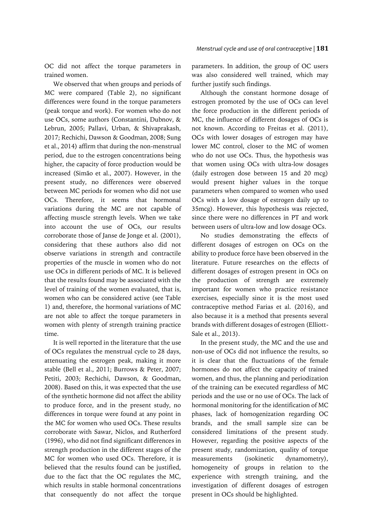OC did not affect the torque parameters in trained women.

We observed that when groups and periods of MC were compared (Table 2), no significant differences were found in the torque parameters (peak torque and work). For women who do not use OCs, some authors (Constantini, Dubnov, & Lebrun, 2005; Pallavi, Urban, & Shivaprakash, 2017; Rechichi, Dawson & Goodman, 2008; Sung et al., 2014) affirm that during the non-menstrual period, due to the estrogen concentrations being higher, the capacity of force production would be increased (Simão et al., 2007). However, in the present study, no differences were observed between MC periods for women who did not use OCs. Therefore, it seems that hormonal variations during the MC are not capable of affecting muscle strength levels. When we take into account the use of OCs, our results corroborate those of Janse de Jonge et al. (2001), considering that these authors also did not observe variations in strength and contractile properties of the muscle in women who do not use OCs in different periods of MC. It is believed that the results found may be associated with the level of training of the women evaluated, that is, women who can be considered active (see Table 1) and, therefore, the hormonal variations of MC are not able to affect the torque parameters in women with plenty of strength training practice time.

It is well reported in the literature that the use of OCs regulates the menstrual cycle to 28 days, attenuating the estrogen peak, making it more stable (Bell et al., 2011; Burrows & Peter, 2007; Petiti, 2003; Rechichi, Dawson, & Goodman, 2008). Based on this, it was expected that the use of the synthetic hormone did not affect the ability to produce force, and in the present study, no differences in torque were found at any point in the MC for women who used OCs. These results corroborate with Sawar, Niclos, and Rutherford (1996), who did not find significant differences in strength production in the different stages of the MC for women who used OCs. Therefore, it is believed that the results found can be justified, due to the fact that the OC regulates the MC, which results in stable hormonal concentrations that consequently do not affect the torque

parameters. In addition, the group of OC users was also considered well trained, which may further justify such findings.

Although the constant hormone dosage of estrogen promoted by the use of OCs can level the force production in the different periods of MC, the influence of different dosages of OCs is not known. According to Freitas et al. (2011), OCs with lower dosages of estrogen may have lower MC control, closer to the MC of women who do not use OCs. Thus, the hypothesis was that women using OCs with ultra-low dosages (daily estrogen dose between 15 and 20 mcg) would present higher values in the torque parameters when compared to women who used OCs with a low dosage of estrogen daily up to 35mcg). However, this hypothesis was rejected, since there were no differences in PT and work between users of ultra-low and low dosage OCs.

No studies demonstrating the effects of different dosages of estrogen on OCs on the ability to produce force have been observed in the literature. Future researches on the effects of different dosages of estrogen present in OCs on the production of strength are extremely important for women who practice resistance exercises, especially since it is the most used contraceptive method Farias et al. (2016), and also because it is a method that presents several brands with different dosages of estrogen (Elliott-Sale et al., 2013).

In the present study, the MC and the use and non-use of OCs did not influence the results, so it is clear that the fluctuations of the female hormones do not affect the capacity of trained women, and thus, the planning and periodization of the training can be executed regardless of MC periods and the use or no use of OCs. The lack of hormonal monitoring for the identification of MC phases, lack of homogenization regarding OC brands, and the small sample size can be considered limitations of the present study. However, regarding the positive aspects of the present study, randomization, quality of torque measurements (isokinetic dynamometry), homogeneity of groups in relation to the experience with strength training, and the investigation of different dosages of estrogen present in OCs should be highlighted.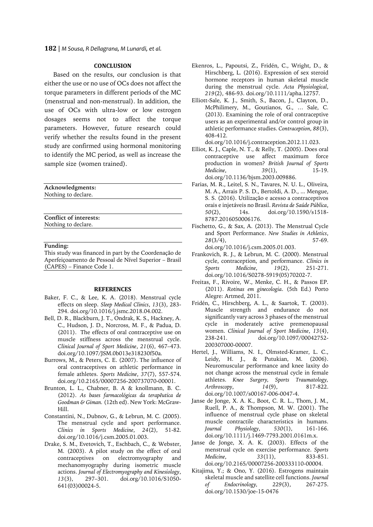**182** | *M Sousa, R Dellagrana, M Lunardi, et al.*

## **CONCLUSION**

Based on the results, our conclusion is that either the use or no use of OCs does not affect the torque parameters in different periods of the MC (menstrual and non-menstrual). In addition, the use of OCs with ultra-low or low estrogen dosages seems not to affect the torque parameters. However, future research could verify whether the results found in the present study are confirmed using hormonal monitoring to identify the MC period, as well as increase the sample size (women trained).

**Acknowledgments:** Nothing to declare.

**Conflict of interests:** Nothing to declare.

**Funding:**

This study was financed in part by the Coordenação de Aperfeiçoamento de Pessoal de Nível Superior – Brasil (CAPES) – Finance Code 1.

#### **REFERENCES**

- Baker, F. C., & Lee, K. A. (2018). Menstrual cycle effects on sleep. *Sleep Medical Clinics*, *13*(3), 283- 294. doi.org/10.1016/j.jsmc.2018.04.002.
- Bell, D. R., Blackburn, J. T., Ondrak, K. S., Hackney, A. C., Hudson, J. D., Norcross, M. F., & Padua, D. (2011). The effects of oral contraceptive use on muscle stiffness across the menstrual cycle. *Clinical Journal of Sport Medicine*, *21*(6), 467–473. doi.org/10.1097/JSM.0b013e318230f50a.
- Burrows, M., & Peters, C. E. (2007). The influence of oral contraceptives on athletic performance in female athletes. *Sports Medicine*, *37*(7), 557-574. doi.org/10.2165/00007256-200737070-00001.
- Brunton, L. L., Chabner, B. A & knollmann, B. C. (2012). *As bases farmacológicas da terapêutica de Goodman & Giman.* (12th ed). New York: McGraw-Hill.
- Constantini, N., Dubnov, G., & Lebrun, M. C. (2005). The menstrual cycle and sport performance. *Clinics in Sports Medicine*, *24*(2), 51-82. doi.org/10.1016/j.csm.2005.01.003.
- Drake, S. M., Evetovich, T., Eschbach, C., & Webster, M. (2003). A pilot study on the effect of oral contraceptives on electromyography and mechanomyography during isometric muscle actions. *Journal of Electromyography and Kinesiology*, *13*(3), 297–301. doi.org/10.1016/S1050- 641(03)00024-5.
- Ekenros, L., Papoutsi, Z., Fridén, C., Wright, D., & Hirschberg, L. (2016). Expression of sex steroid hormone receptors in human skeletal muscle during the menstrual cycle. *Acta Physiological*, *219*(2), 486-93. doi.org/10.1111/apha.12757.
- Elliott-Sale, K. J., Smith, S., Bacon, J., Clayton, D., McPhilimery, M., Goutianos, G., … Sale, C. (2013). Examining the role of oral contraceptive users as an experimental and/or control group in athletic performance studies. *Contraception*, *88*(3), 408-412.

doi.org/10.1016/j.contraception.2012.11.023.

- Elliot, K. J., Caple, N. T., & Relly, T. (2005). Does oral contraceptive use affect maximum force production in women? *British Journal of Sports Medicine*, *39*(1), 15-19. doi.org/10.1136/bjsm.2003.009886.
- Farias, M. R., Leitel, S. N., Tavares, N. U. L., Oliveira, M. A., Arrais P. S. D., Bertoldi, A. D., ... Mengue, S. S. (2016). Utilização e acesso a contraceptivos orais e injetáveis no Brasil. *Revista de Saúde Pública*, *50*(2), 14s. doi.org/10.1590/s1518- 8787.2016050006176.
- Fischetto, G., & Sax, A. (2013). The Menstrual Cycle and Sport Performance. *New Studies in Athletics*, *28*(3/4), 57-69. doi.org/10.1016/j.csm.2005.01.003.
- Frankovich, R. J., & Lebrun, M. C. (2000). Menstrual cycle, contraception, and performance. *Clinics in Sports Medicine*, *19(2)*, doi.org/10.1016/S0278-5919(05)70202-7.
- Freitas, F., Rivoire, W., Menke, C. H., & Passos EP. (2011). *Rotinas em ginecologia*. (5th Ed.) Porto Alegre: Artmed, 2011.
- Fridén, C., Hirschberg, A. L., & Saartok, T. (2003). Muscle strength and endurance do not significantly vary across 3 phases of the menstrual cycle in moderately active premenopausal women. *Clinical Journal of Sport Medicine*, *13*(4), 238-241. doi.org/10.1097/00042752- 200307000-00007.
- Hertel, J., Williams, N. I., Olmsted-Kramer, L. C., Leidy, H. J., & Putukian, M. (2006). Neuromuscular performance and knee laxity do not change across the menstrual cycle in female athletes. *Knee Surgery, Sports Traumatology, Arthroscopy*, *14*(9), 817-822. doi.org/10.1007/s00167-006-0047-4.
- Janse de Jonge, X. A. K., Boot, C. R. L., Thom, J. M., Ruell, P. A., & Thompson, M. W. (2001). The influence of menstrual cycle phase on skeletal muscle contractile characteristics in humans. *Journal Physiology*, *530*(1), 161-166. doi.org/10.1111/j.1469-7793.2001.0161m.x.
- Janse de Jonge, X. A. K. (2003). Effects of the menstrual cycle on exercise performance. *Sports Medicine*, *33*(11), 833-851. doi.org/10.2165/00007256-200333110-00004.
- Kitajima, Y.; & Ono, Y. (2016). Estrogens maintain skeletal muscle and satellite cell functions. *Journal of Endocrinology, 229*(3), 267-275. doi.org/10.1530/joe-15-0476